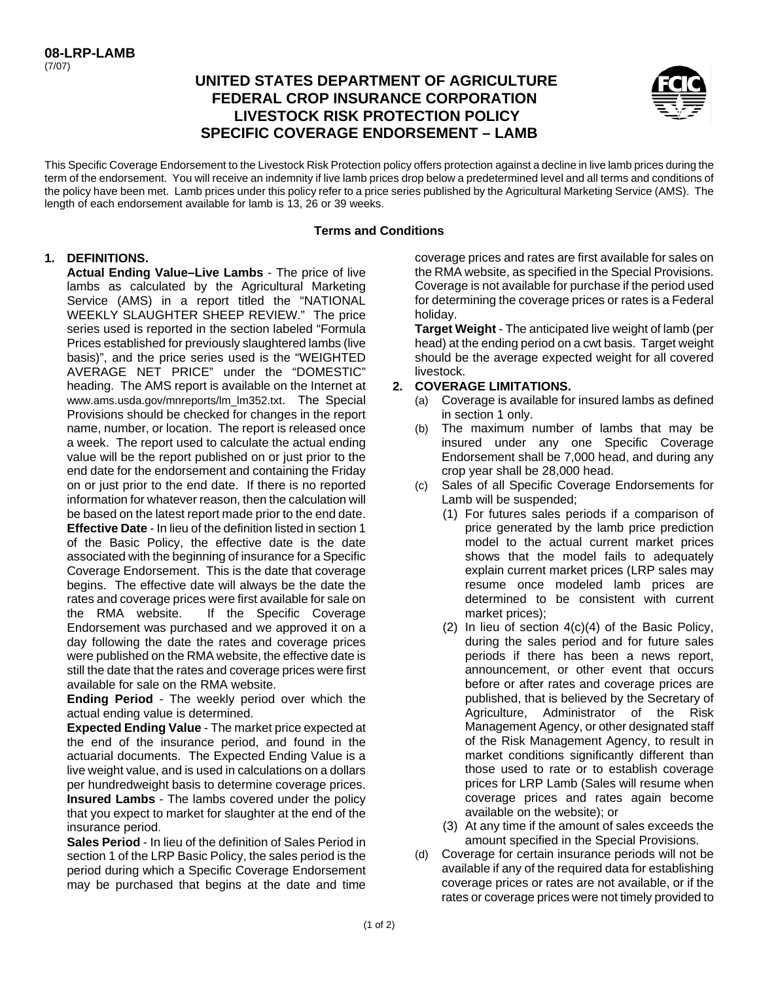# **UNITED STATES DEPARTMENT OF AGRICULTURE FEDERAL CROP INSURANCE CORPORATION LIVESTOCK RISK PROTECTION POLICY SPECIFIC COVERAGE ENDORSEMENT – LAMB**



This Specific Coverage Endorsement to the Livestock Risk Protection policy offers protection against a decline in live lamb prices during the term of the endorsement. You will receive an indemnity if live lamb prices drop below a predetermined level and all terms and conditions of the policy have been met. Lamb prices under this policy refer to a price series published by the Agricultural Marketing Service (AMS). The length of each endorsement available for lamb is 13, 26 or 39 weeks.

### **Terms and Conditions**

### **1. DEFINITIONS.**

 **Effective Date** - In lieu of the definition listed in section 1 associated with the beginning of insurance for a Specific rates and coverage prices were first available for sale on **Actual Ending Value–Live Lambs** - The price of live lambs as calculated by the Agricultural Marketing Service (AMS) in a report titled the "NATIONAL WEEKLY SLAUGHTER SHEEP REVIEW." The price series used is reported in the section labeled "Formula Prices established for previously slaughtered lambs (live basis)", and the price series used is the "WEIGHTED AVERAGE NET PRICE" under the "DOMESTIC" heading. The AMS report is available on the Internet at www.ams.usda.gov/mnreports/lm\_lm352.txt. The Special Provisions should be checked for changes in the report name, number, or location. The report is released once a week. The report used to calculate the actual ending value will be the report published on or just prior to the end date for the endorsement and containing the Friday on or just prior to the end date. If there is no reported information for whatever reason, then the calculation will be based on the latest report made prior to the end date. of the Basic Policy, the effective date is the date Coverage Endorsement. This is the date that coverage begins. The effective date will always be the date the the RMA website. If the Specific Coverage Endorsement was purchased and we approved it on a day following the date the rates and coverage prices were published on the RMA website, the effective date is still the date that the rates and coverage prices were first available for sale on the RMA website.

**Ending Period** - The weekly period over which the actual ending value is determined.

 live weight value, and is used in calculations on a dollars **Expected Ending Value** - The market price expected at the end of the insurance period, and found in the actuarial documents. The Expected Ending Value is a per hundredweight basis to determine coverage prices. **Insured Lambs** - The lambs covered under the policy that you expect to market for slaughter at the end of the insurance period.

**Sales Period** - In lieu of the definition of Sales Period in section 1 of the LRP Basic Policy, the sales period is the period during which a Specific Coverage Endorsement may be purchased that begins at the date and time

 Coverage is not available for purchase if the period used coverage prices and rates are first available for sales on the RMA website, as specified in the Special Provisions. for determining the coverage prices or rates is a Federal holiday.

 **Target Weight** - The anticipated live weight of lamb (per head) at the ending period on a cwt basis. Target weight should be the average expected weight for all covered livestock.

### **2. COVERAGE LIMITATIONS.**

- (a) Coverage is available for insured lambs as defined in section 1 only.
- (b) The maximum number of lambs that may be insured under any one Specific Coverage Endorsement shall be 7,000 head, and during any crop year shall be 28,000 head.
- (c) Sales of all Specific Coverage Endorsements for Lamb will be suspended;
	- (1) For futures sales periods if a comparison of price generated by the lamb price prediction model to the actual current market prices shows that the model fails to adequately explain current market prices (LRP sales may resume once modeled lamb prices are determined to be consistent with current market prices);
	- (2) In lieu of section 4(c)(4) of the Basic Policy, during the sales period and for future sales periods if there has been a news report, announcement, or other event that occurs before or after rates and coverage prices are published, that is believed by the Secretary of Agriculture, Administrator of the Risk Management Agency, or other designated staff of the Risk Management Agency, to result in market conditions significantly different than those used to rate or to establish coverage prices for LRP Lamb (Sales will resume when coverage prices and rates again become available on the website); or
	- (3) At any time if the amount of sales exceeds the amount specified in the Special Provisions.
- (d) Coverage for certain insurance periods will not be available if any of the required data for establishing coverage prices or rates are not available, or if the rates or coverage prices were not timely provided to